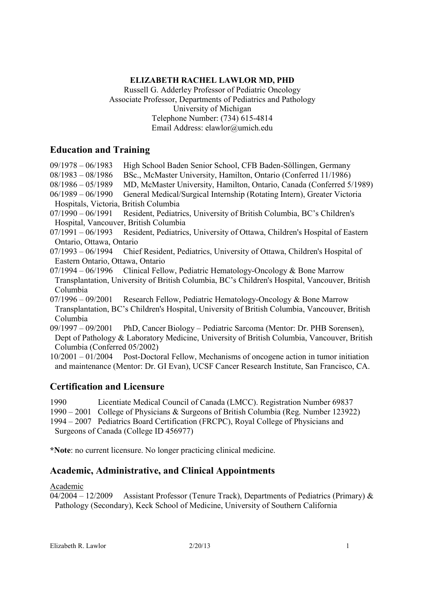### **ELIZABETH RACHEL LAWLOR MD, PHD**

Russell G. Adderley Professor of Pediatric Oncology Associate Professor, Departments of Pediatrics and Pathology University of Michigan Telephone Number: (734) 615-4814 Email Address: elawlor@umich.edu

# **Education and Training**

09/1978 – 06/1983 High School Baden Senior School, CFB Baden-Söllingen, Germany

08/1983 – 08/1986 BSc., McMaster University, Hamilton, Ontario (Conferred 11/1986)

- 08/1986 05/1989 MD, McMaster University, Hamilton, Ontario, Canada (Conferred 5/1989)
- 06/1989 06/1990 General Medical/Surgical Internship (Rotating Intern), Greater Victoria Hospitals, Victoria, British Columbia
- 07/1990 06/1991 Resident, Pediatrics, University of British Columbia, BC's Children's Hospital, Vancouver, British Columbia
- 07/1991 06/1993 Resident, Pediatrics, University of Ottawa, Children's Hospital of Eastern Ontario, Ottawa, Ontario
- 07/1993 06/1994 Chief Resident, Pediatrics, University of Ottawa, Children's Hospital of Eastern Ontario, Ottawa, Ontario
- $07/1994 06/1996$  Clinical Fellow, Pediatric Hematology-Oncology & Bone Marrow Transplantation, University of British Columbia, BC's Children's Hospital, Vancouver, British Columbia
- $07/1996 09/2001$  Research Fellow, Pediatric Hematology-Oncology & Bone Marrow Transplantation, BC's Children's Hospital, University of British Columbia, Vancouver, British Columbia
- 09/1997 09/2001 PhD, Cancer Biology Pediatric Sarcoma (Mentor: Dr. PHB Sorensen), Dept of Pathology & Laboratory Medicine, University of British Columbia, Vancouver, British Columbia (Conferred 05/2002)
- 10/2001 01/2004 Post-Doctoral Fellow, Mechanisms of oncogene action in tumor initiation and maintenance (Mentor: Dr. GI Evan), UCSF Cancer Research Institute, San Francisco, CA.

# **Certification and Licensure**

- 1990 Licentiate Medical Council of Canada (LMCC). Registration Number 69837
- 1990 2001 College of Physicians & Surgeons of British Columbia (Reg. Number 123922)
- 1994 2007 Pediatrics Board Certification (FRCPC), Royal College of Physicians and Surgeons of Canada (College ID 456977)

\***Note**: no current licensure. No longer practicing clinical medicine.

# **Academic, Administrative, and Clinical Appointments**

### Academic

 $04/2004 - 12/2009$  Assistant Professor (Tenure Track), Departments of Pediatrics (Primary) & Pathology (Secondary), Keck School of Medicine, University of Southern California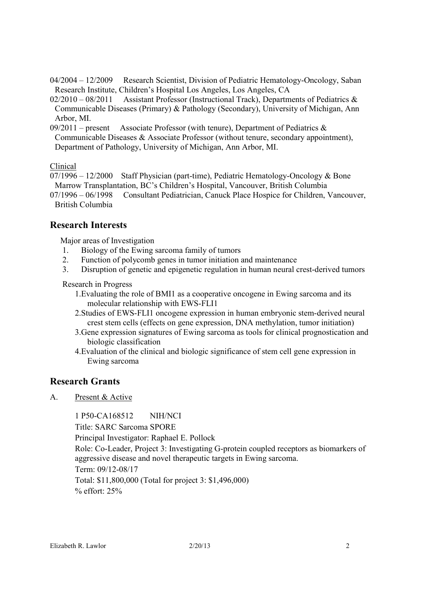04/2004 – 12/2009 Research Scientist, Division of Pediatric Hematology-Oncology, Saban Research Institute, Children's Hospital Los Angeles, Los Angeles, CA

 $02/2010 - 08/2011$  Assistant Professor (Instructional Track), Departments of Pediatrics & Communicable Diseases (Primary) & Pathology (Secondary), University of Michigan, Ann Arbor, MI.

 $09/2011$  – present Associate Professor (with tenure), Department of Pediatrics & Communicable Diseases & Associate Professor (without tenure, secondary appointment), Department of Pathology, University of Michigan, Ann Arbor, MI.

 $\frac{\text{Clinical}}{07/1996 - 12/2000}$ Staff Physician (part-time), Pediatric Hematology-Oncology & Bone Marrow Transplantation, BC's Children's Hospital, Vancouver, British Columbia

07/1996 – 06/1998 Consultant Pediatrician, Canuck Place Hospice for Children, Vancouver, British Columbia

# **Research Interests**

Major areas of Investigation

- 1. Biology of the Ewing sarcoma family of tumors
- 2. Function of polycomb genes in tumor initiation and maintenance
- 3. Disruption of genetic and epigenetic regulation in human neural crest-derived tumors

Research in Progress

- 1.Evaluating the role of BMI1 as a cooperative oncogene in Ewing sarcoma and its molecular relationship with EWS-FLI1
- 2.Studies of EWS-FLI1 oncogene expression in human embryonic stem-derived neural crest stem cells (effects on gene expression, DNA methylation, tumor initiation)
- 3.Gene expression signatures of Ewing sarcoma as tools for clinical prognostication and biologic classification
- 4.Evaluation of the clinical and biologic significance of stem cell gene expression in Ewing sarcoma

# **Research Grants**

A. Present & Active

1 P50-CA168512 NIH/NCI

Title: SARC Sarcoma SPORE

Principal Investigator: Raphael E. Pollock

Role: Co-Leader, Project 3: Investigating G-protein coupled receptors as biomarkers of aggressive disease and novel therapeutic targets in Ewing sarcoma.

Term: 09/12-08/17

Total: \$11,800,000 (Total for project 3: \$1,496,000) % effort: 25%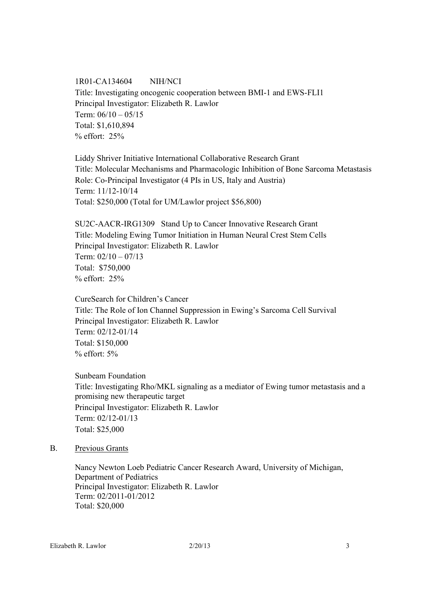1R01-CA134604 NIH/NCI Title: Investigating oncogenic cooperation between BMI-1 and EWS-FLI1 Principal Investigator: Elizabeth R. Lawlor Term:  $06/10 - 05/15$ Total: \$1,610,894 % effort: 25%

Liddy Shriver Initiative International Collaborative Research Grant Title: Molecular Mechanisms and Pharmacologic Inhibition of Bone Sarcoma Metastasis Role: Co-Principal Investigator (4 PIs in US, Italy and Austria) Term: 11/12-10/14 Total: \$250,000 (Total for UM/Lawlor project \$56,800)

SU2C-AACR-IRG1309 Stand Up to Cancer Innovative Research Grant Title: Modeling Ewing Tumor Initiation in Human Neural Crest Stem Cells Principal Investigator: Elizabeth R. Lawlor Term:  $02/10 - 07/13$ Total: \$750,000 % effort: 25%

CureSearch for Children's Cancer Title: The Role of Ion Channel Suppression in Ewing's Sarcoma Cell Survival Principal Investigator: Elizabeth R. Lawlor Term: 02/12-01/14 Total: \$150,000  $%$  effort:  $5%$ 

Sunbeam Foundation Title: Investigating Rho/MKL signaling as a mediator of Ewing tumor metastasis and a promising new therapeutic target Principal Investigator: Elizabeth R. Lawlor Term: 02/12-01/13 Total: \$25,000

#### B. Previous Grants

Nancy Newton Loeb Pediatric Cancer Research Award, University of Michigan, Department of Pediatrics Principal Investigator: Elizabeth R. Lawlor Term: 02/2011-01/2012 Total: \$20,000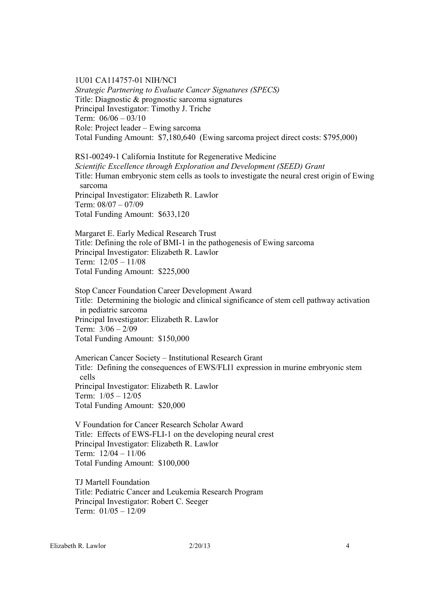1U01 CA114757-01 NIH/NCI *Strategic Partnering to Evaluate Cancer Signatures (SPECS)*  Title: Diagnostic & prognostic sarcoma signatures Principal Investigator: Timothy J. Triche Term: 06/06 – 03/10 Role: Project leader – Ewing sarcoma Total Funding Amount: \$7,180,640 (Ewing sarcoma project direct costs: \$795,000)

RS1-00249-1 California Institute for Regenerative Medicine *Scientific Excellence through Exploration and Development (SEED) Grant*  Title: Human embryonic stem cells as tools to investigate the neural crest origin of Ewing sarcoma Principal Investigator: Elizabeth R. Lawlor Term: 08/07 – 07/09 Total Funding Amount: \$633,120

 Margaret E. Early Medical Research Trust Title: Defining the role of BMI-1 in the pathogenesis of Ewing sarcoma Principal Investigator: Elizabeth R. Lawlor Term: 12/05 – 11/08 Total Funding Amount: \$225,000

 Stop Cancer Foundation Career Development Award Title: Determining the biologic and clinical significance of stem cell pathway activation in pediatric sarcoma Principal Investigator: Elizabeth R. Lawlor Term: 3/06 – 2/09 Total Funding Amount: \$150,000

American Cancer Society – Institutional Research Grant Title: Defining the consequences of EWS/FLI1 expression in murine embryonic stem cells Principal Investigator: Elizabeth R. Lawlor Term:  $1/05 - 12/05$ Total Funding Amount: \$20,000

V Foundation for Cancer Research Scholar Award Title: Effects of EWS-FLI-1 on the developing neural crest Principal Investigator: Elizabeth R. Lawlor Term: 12/04 – 11/06 Total Funding Amount: \$100,000

TJ Martell Foundation Title: Pediatric Cancer and Leukemia Research Program Principal Investigator: Robert C. Seeger Term:  $01/05 - 12/09$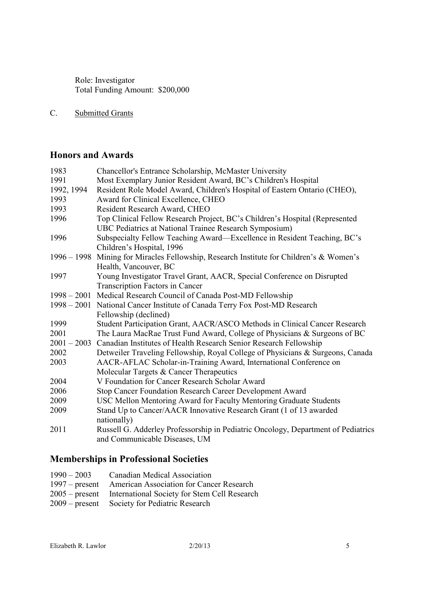Role: Investigator Total Funding Amount: \$200,000

C. Submitted Grants

# **Honors and Awards**

| 1983       | Chancellor's Entrance Scholarship, McMaster University                                  |
|------------|-----------------------------------------------------------------------------------------|
| 1991       | Most Exemplary Junior Resident Award, BC's Children's Hospital                          |
| 1992, 1994 | Resident Role Model Award, Children's Hospital of Eastern Ontario (CHEO),               |
| 1993       | Award for Clinical Excellence, CHEO                                                     |
| 1993       | Resident Research Award, CHEO                                                           |
| 1996       | Top Clinical Fellow Research Project, BC's Children's Hospital (Represented             |
|            | UBC Pediatrics at National Trainee Research Symposium)                                  |
| 1996       | Subspecialty Fellow Teaching Award—Excellence in Resident Teaching, BC's                |
|            | Children's Hospital, 1996                                                               |
|            | 1996 – 1998 Mining for Miracles Fellowship, Research Institute for Children's & Women's |
|            | Health, Vancouver, BC                                                                   |
| 1997       | Young Investigator Travel Grant, AACR, Special Conference on Disrupted                  |
|            | <b>Transcription Factors in Cancer</b>                                                  |
|            | 1998 – 2001 Medical Research Council of Canada Post-MD Fellowship                       |
|            | 1998 – 2001 National Cancer Institute of Canada Terry Fox Post-MD Research              |
|            | Fellowship (declined)                                                                   |
| 1999       | Student Participation Grant, AACR/ASCO Methods in Clinical Cancer Research              |
| 2001       | The Laura MacRae Trust Fund Award, College of Physicians & Surgeons of BC               |
|            | 2001 - 2003 Canadian Institutes of Health Research Senior Research Fellowship           |
| 2002       | Detweiler Traveling Fellowship, Royal College of Physicians & Surgeons, Canada          |
| 2003       | AACR-AFLAC Scholar-in-Training Award, International Conference on                       |
|            | Molecular Targets & Cancer Therapeutics                                                 |
| 2004       | V Foundation for Cancer Research Scholar Award                                          |
| 2006       | Stop Cancer Foundation Research Career Development Award                                |
| 2009       | USC Mellon Mentoring Award for Faculty Mentoring Graduate Students                      |
| 2009       | Stand Up to Cancer/AACR Innovative Research Grant (1 of 13 awarded                      |
|            | nationally)                                                                             |
| 2011       | Russell G. Adderley Professorship in Pediatric Oncology, Department of Pediatrics       |
|            | and Communicable Diseases, UM                                                           |

# **Memberships in Professional Societies**

| $1990 - 2003$ | Canadian Medical Association                            |
|---------------|---------------------------------------------------------|
|               | 1997 – present American Association for Cancer Research |

- 2005 present International Society for Stem Cell Research
- 2009 present Society for Pediatric Research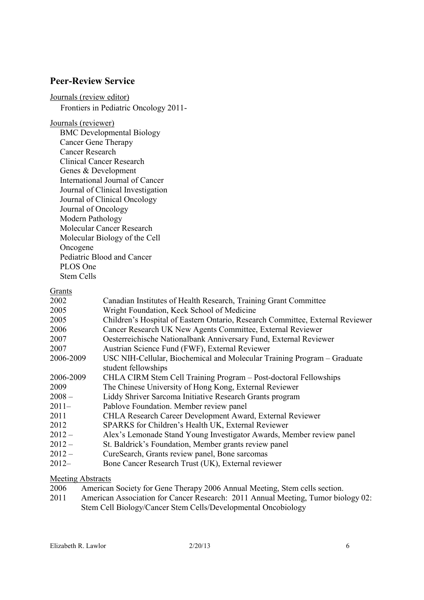## **Peer-Review Service**

Journals (review editor) Frontiers in Pediatric Oncology 2011-

Journals (reviewer)

BMC Developmental Biology Cancer Gene Therapy Cancer Research Clinical Cancer Research Genes & Development International Journal of Cancer Journal of Clinical Investigation Journal of Clinical Oncology Journal of Oncology Modern Pathology Molecular Cancer Research Molecular Biology of the Cell Oncogene Pediatric Blood and Cancer PLOS One Stem Cells

## Grants

| ------    |                                                                               |
|-----------|-------------------------------------------------------------------------------|
| 2002      | Canadian Institutes of Health Research, Training Grant Committee              |
| 2005      | Wright Foundation, Keck School of Medicine                                    |
| 2005      | Children's Hospital of Eastern Ontario, Research Committee, External Reviewer |
| 2006      | Cancer Research UK New Agents Committee, External Reviewer                    |
| 2007      | Oesterreichische Nationalbank Anniversary Fund, External Reviewer             |
| 2007      | Austrian Science Fund (FWF), External Reviewer                                |
| 2006-2009 | USC NIH-Cellular, Biochemical and Molecular Training Program – Graduate       |
|           | student fellowships                                                           |
| 2006-2009 | CHLA CIRM Stem Cell Training Program – Post-doctoral Fellowships              |
| 2009      | The Chinese University of Hong Kong, External Reviewer                        |
| $2008 -$  | Liddy Shriver Sarcoma Initiative Research Grants program                      |
| $2011-$   | Pablove Foundation. Member review panel                                       |
| 2011      | CHLA Research Career Development Award, External Reviewer                     |
| 2012      | SPARKS for Children's Health UK, External Reviewer                            |
| $2012 -$  | Alex's Lemonade Stand Young Investigator Awards, Member review panel          |
| $2012 -$  | St. Baldrick's Foundation, Member grants review panel                         |
| $2012 -$  | CureSearch, Grants review panel, Bone sarcomas                                |
| $2012 -$  | Bone Cancer Research Trust (UK), External reviewer                            |
|           |                                                                               |

#### **Meeting Abstracts**

- 2006 American Society for Gene Therapy 2006 Annual Meeting, Stem cells section.
- 2011 American Association for Cancer Research: 2011 Annual Meeting, Tumor biology 02: Stem Cell Biology/Cancer Stem Cells/Developmental Oncobiology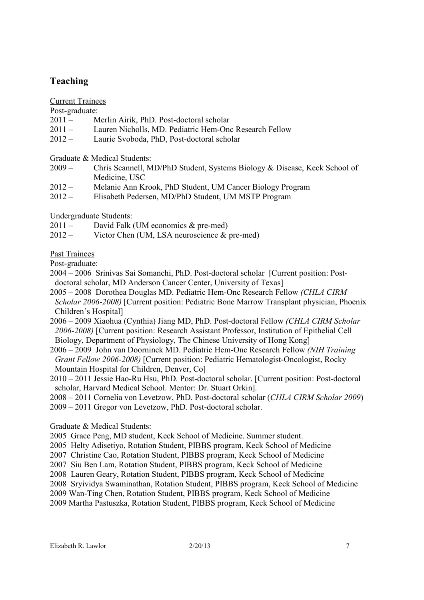# **Teaching**

Current Trainees

Post-graduate:

- 2011 Merlin Airik, PhD. Post-doctoral scholar
- 2011 Lauren Nicholls, MD. Pediatric Hem-Onc Research Fellow
- 2012 Laurie Svoboda, PhD, Post-doctoral scholar

Graduate & Medical Students:

- 2009 Chris Scannell, MD/PhD Student, Systems Biology & Disease, Keck School of Medicine, USC
- 2012 Melanie Ann Krook, PhD Student, UM Cancer Biology Program
- 2012 Elisabeth Pedersen, MD/PhD Student, UM MSTP Program

Undergraduate Students:

- 2011 David Falk (UM economics & pre-med)
- 2012 Victor Chen (UM, LSA neuroscience & pre-med)

Past Trainees

Post-graduate:

- 2004 2006 Srinivas Sai Somanchi, PhD. Post-doctoral scholar [Current position: Postdoctoral scholar, MD Anderson Cancer Center, University of Texas]
- 2005 2008 Dorothea Douglas MD. Pediatric Hem-Onc Research Fellow *(CHLA CIRM Scholar 2006-2008)* [Current position: Pediatric Bone Marrow Transplant physician, Phoenix Children's Hospital]
- 2006 2009 Xiaohua (Cynthia) Jiang MD, PhD. Post-doctoral Fellow *(CHLA CIRM Scholar 2006-2008)* [Current position: Research Assistant Professor, Institution of Epithelial Cell Biology, Department of Physiology, The Chinese University of Hong Kong]
- 2006 2009 John van Doorninck MD. Pediatric Hem-Onc Research Fellow *((IH Training Grant Fellow 2006-2008)* [Current position: Pediatric Hematologist-Oncologist, Rocky Mountain Hospital for Children, Denver, Co]
- 2010 2011 Jessie Hao-Ru Hsu, PhD. Post-doctoral scholar. [Current position: Post-doctoral scholar, Harvard Medical School. Mentor: Dr. Stuart Orkin].
- 2008 2011 Cornelia von Levetzow, PhD. Post-doctoral scholar (*CHLA CIRM Scholar 2009*)
- 2009 2011 Gregor von Levetzow, PhD. Post-doctoral scholar.

#### Graduate & Medical Students:

- 2005 Grace Peng, MD student, Keck School of Medicine. Summer student.
- 2005 Helty Adisetiyo, Rotation Student, PIBBS program, Keck School of Medicine
- 2007 Christine Cao, Rotation Student, PIBBS program, Keck School of Medicine
- 2007 Siu Ben Lam, Rotation Student, PIBBS program, Keck School of Medicine
- 2008 Lauren Geary, Rotation Student, PIBBS program, Keck School of Medicine
- 2008 Sryividya Swaminathan, Rotation Student, PIBBS program, Keck School of Medicine
- 2009 Wan-Ting Chen, Rotation Student, PIBBS program, Keck School of Medicine
- 2009 Martha Pastuszka, Rotation Student, PIBBS program, Keck School of Medicine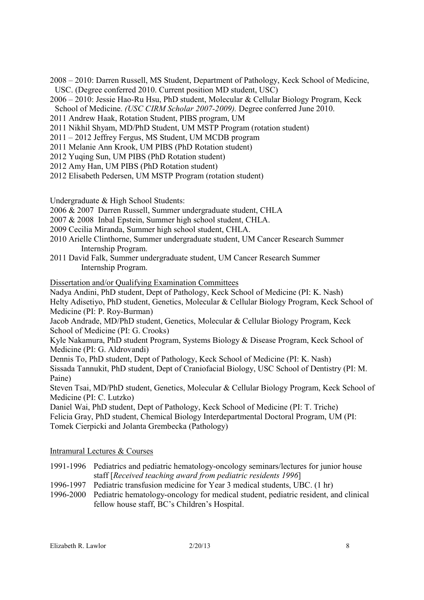- 2008 2010: Darren Russell, MS Student, Department of Pathology, Keck School of Medicine, USC. (Degree conferred 2010. Current position MD student, USC)
- 2006 2010: Jessie Hao-Ru Hsu, PhD student, Molecular & Cellular Biology Program, Keck School of Medicine. *(USC CIRM Scholar 2007-2009).* Degree conferred June 2010.
- 2011 Andrew Haak, Rotation Student, PIBS program, UM
- 2011 Nikhil Shyam, MD/PhD Student, UM MSTP Program (rotation student)
- 2011 2012 Jeffrey Fergus, MS Student, UM MCDB program
- 2011 Melanie Ann Krook, UM PIBS (PhD Rotation student)
- 2012 Yuqing Sun, UM PIBS (PhD Rotation student)
- 2012 Amy Han, UM PIBS (PhD Rotation student)
- 2012 Elisabeth Pedersen, UM MSTP Program (rotation student)

Undergraduate & High School Students:

- 2006 & 2007 Darren Russell, Summer undergraduate student, CHLA
- 2007 & 2008 Inbal Epstein, Summer high school student, CHLA.
- 2009 Cecilia Miranda, Summer high school student, CHLA.
- 2010 Arielle Clinthorne, Summer undergraduate student, UM Cancer Research Summer Internship Program.
- 2011 David Falk, Summer undergraduate student, UM Cancer Research Summer Internship Program.

Dissertation and/or Qualifying Examination Committees

Nadya Andini, PhD student, Dept of Pathology, Keck School of Medicine (PI: K. Nash) Helty Adisetiyo, PhD student, Genetics, Molecular & Cellular Biology Program, Keck School of Medicine (PI: P. Roy-Burman)

Jacob Andrade, MD/PhD student, Genetics, Molecular & Cellular Biology Program, Keck School of Medicine (PI: G. Crooks)

Kyle Nakamura, PhD student Program, Systems Biology & Disease Program, Keck School of Medicine (PI: G. Aldrovandi)

Dennis To, PhD student, Dept of Pathology, Keck School of Medicine (PI: K. Nash) Sissada Tannukit, PhD student, Dept of Craniofacial Biology, USC School of Dentistry (PI: M. Paine)

Steven Tsai, MD/PhD student, Genetics, Molecular & Cellular Biology Program, Keck School of Medicine (PI: C. Lutzko)

Daniel Wai, PhD student, Dept of Pathology, Keck School of Medicine (PI: T. Triche) Felicia Gray, PhD student, Chemical Biology Interdepartmental Doctoral Program, UM (PI: Tomek Cierpicki and Jolanta Grembecka (Pathology)

#### Intramural Lectures & Courses

- 1991-1996 Pediatrics and pediatric hematology-oncology seminars/lectures for junior house staff [*Received teaching award from pediatric residents 1996*]
- 1996-1997 Pediatric transfusion medicine for Year 3 medical students, UBC. (1 hr)
- 1996-2000 Pediatric hematology-oncology for medical student, pediatric resident, and clinical fellow house staff, BC's Children's Hospital.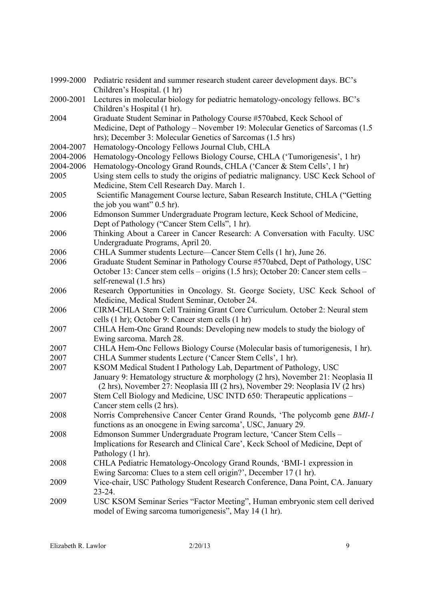| 1999-2000 | Pediatric resident and summer research student career development days. BC's                                   |
|-----------|----------------------------------------------------------------------------------------------------------------|
|           | Children's Hospital. (1 hr)                                                                                    |
| 2000-2001 | Lectures in molecular biology for pediatric hematology-oncology fellows. BC's<br>Children's Hospital (1 hr).   |
| 2004      | Graduate Student Seminar in Pathology Course #570abcd, Keck School of                                          |
|           | Medicine, Dept of Pathology – November 19: Molecular Genetics of Sarcomas (1.5)                                |
|           | hrs); December 3: Molecular Genetics of Sarcomas (1.5 hrs)                                                     |
| 2004-2007 | Hematology-Oncology Fellows Journal Club, CHLA                                                                 |
| 2004-2006 | Hematology-Oncology Fellows Biology Course, CHLA ('Tumorigenesis', 1 hr)                                       |
| 2004-2006 | Hematology-Oncology Grand Rounds, CHLA ('Cancer & Stem Cells', 1 hr)                                           |
| 2005      | Using stem cells to study the origins of pediatric malignancy. USC Keck School of                              |
|           | Medicine, Stem Cell Research Day. March 1.                                                                     |
| 2005      | Scientific Management Course lecture, Saban Research Institute, CHLA ("Getting<br>the job you want" $0.5$ hr). |
| 2006      | Edmonson Summer Undergraduate Program lecture, Keck School of Medicine,                                        |
|           | Dept of Pathology ("Cancer Stem Cells", 1 hr).                                                                 |
| 2006      | Thinking About a Career in Cancer Research: A Conversation with Faculty. USC                                   |
|           | Undergraduate Programs, April 20.                                                                              |
| 2006      | CHLA Summer students Lecture—Cancer Stem Cells (1 hr), June 26.                                                |
| 2006      | Graduate Student Seminar in Pathology Course #570abcd, Dept of Pathology, USC                                  |
|           | October 13: Cancer stem cells – origins (1.5 hrs); October 20: Cancer stem cells –                             |
|           | self-renewal (1.5 hrs)                                                                                         |
| 2006      | Research Opportunities in Oncology. St. George Society, USC Keck School of                                     |
|           | Medicine, Medical Student Seminar, October 24.                                                                 |
| 2006      | CIRM-CHLA Stem Cell Training Grant Core Curriculum. October 2: Neural stem                                     |
|           | cells (1 hr); October 9: Cancer stem cells (1 hr)                                                              |
| 2007      | CHLA Hem-Onc Grand Rounds: Developing new models to study the biology of                                       |
|           | Ewing sarcoma. March 28.                                                                                       |
| 2007      | CHLA Hem-Onc Fellows Biology Course (Molecular basis of tumorigenesis, 1 hr).                                  |
| 2007      | CHLA Summer students Lecture ('Cancer Stem Cells', 1 hr).                                                      |
| 2007      | KSOM Medical Student I Pathology Lab, Department of Pathology, USC                                             |
|           | January 9: Hematology structure & morphology (2 hrs), November 21: Neoplasia II                                |
|           | (2 hrs), November 27: Neoplasia III (2 hrs), November 29: Neoplasia IV (2 hrs)                                 |
| 2007      | Stem Cell Biology and Medicine, USC INTD 650: Therapeutic applications -                                       |
|           | Cancer stem cells (2 hrs).                                                                                     |
| 2008      | Norris Comprehensive Cancer Center Grand Rounds, 'The polycomb gene <i>BMI-1</i>                               |
|           | functions as an onocgene in Ewing sarcoma', USC, January 29.                                                   |
| 2008      | Edmonson Summer Undergraduate Program lecture, 'Cancer Stem Cells -                                            |
|           | Implications for Research and Clinical Care', Keck School of Medicine, Dept of                                 |
|           | Pathology (1 hr).                                                                                              |
| 2008      | CHLA Pediatric Hematology-Oncology Grand Rounds, 'BMI-1 expression in                                          |
|           | Ewing Sarcoma: Clues to a stem cell origin?', December 17 (1 hr).                                              |
| 2009      | Vice-chair, USC Pathology Student Research Conference, Dana Point, CA. January                                 |
|           | $23 - 24$ .                                                                                                    |
| 2009      | USC KSOM Seminar Series "Factor Meeting", Human embryonic stem cell derived                                    |
|           | model of Ewing sarcoma tumorigenesis", May 14 (1 hr).                                                          |
|           |                                                                                                                |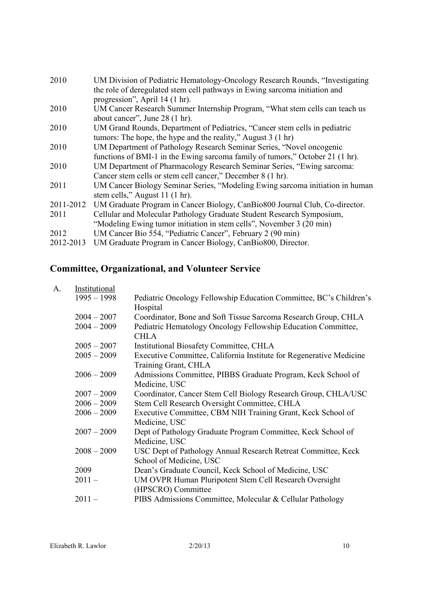| 2010      | UM Division of Pediatric Hematology-Oncology Research Rounds, "Investigating  |
|-----------|-------------------------------------------------------------------------------|
|           | the role of deregulated stem cell pathways in Ewing sarcoma initiation and    |
|           | progression", April 14 (1 hr).                                                |
| 2010      | UM Cancer Research Summer Internship Program, "What stem cells can teach us   |
|           | about cancer", June 28 (1 hr).                                                |
| 2010      | UM Grand Rounds, Department of Pediatrics, "Cancer stem cells in pediatric    |
|           | tumors: The hope, the hype and the reality," August 3 (1 hr)                  |
| 2010      | UM Department of Pathology Research Seminar Series, "Novel oncogenic          |
|           | functions of BMI-1 in the Ewing sarcoma family of tumors," October 21 (1 hr). |
| 2010      | UM Department of Pharmacology Research Seminar Series, "Ewing sarcoma:        |
|           | Cancer stem cells or stem cell cancer," December 8 (1 hr).                    |
| 2011      | UM Cancer Biology Seminar Series, "Modeling Ewing sarcoma initiation in human |
|           | stem cells," August 11 (1 hr).                                                |
| 2011-2012 | UM Graduate Program in Cancer Biology, CanBio800 Journal Club, Co-director.   |
| 2011      | Cellular and Molecular Pathology Graduate Student Research Symposium,         |
|           | "Modeling Ewing tumor initiation in stem cells", November 3 (20 min)          |
| 2012      | UM Cancer Bio 554, "Pediatric Cancer", February 2 (90 min)                    |
| 2012-2013 | UM Graduate Program in Cancer Biology, CanBio800, Director.                   |

# **Committee, Organizational, and Volunteer Service**

| A. | Institutional |                                                                     |
|----|---------------|---------------------------------------------------------------------|
|    | $1995 - 1998$ | Pediatric Oncology Fellowship Education Committee, BC's Children's  |
|    |               | Hospital                                                            |
|    | $2004 - 2007$ | Coordinator, Bone and Soft Tissue Sarcoma Research Group, CHLA      |
|    | $2004 - 2009$ | Pediatric Hematology Oncology Fellowship Education Committee,       |
|    |               | <b>CHLA</b>                                                         |
|    | $2005 - 2007$ | Institutional Biosafety Committee, CHLA                             |
|    | $2005 - 2009$ | Executive Committee, California Institute for Regenerative Medicine |
|    |               | Training Grant, CHLA                                                |
|    | $2006 - 2009$ | Admissions Committee, PIBBS Graduate Program, Keck School of        |
|    |               | Medicine, USC                                                       |
|    | $2007 - 2009$ | Coordinator, Cancer Stem Cell Biology Research Group, CHLA/USC      |
|    | $2006 - 2009$ | Stem Cell Research Oversight Committee, CHLA                        |
|    | $2006 - 2009$ | Executive Committee, CBM NIH Training Grant, Keck School of         |
|    |               | Medicine, USC                                                       |
|    | $2007 - 2009$ | Dept of Pathology Graduate Program Committee, Keck School of        |
|    |               | Medicine, USC                                                       |
|    | $2008 - 2009$ | USC Dept of Pathology Annual Research Retreat Committee, Keck       |
|    |               | School of Medicine, USC                                             |
|    | 2009          | Dean's Graduate Council, Keck School of Medicine, USC               |
|    | $2011 -$      | UM OVPR Human Pluripotent Stem Cell Research Oversight              |
|    |               | (HPSCRO) Committee                                                  |
|    | $2011 -$      | PIBS Admissions Committee, Molecular & Cellular Pathology           |
|    |               |                                                                     |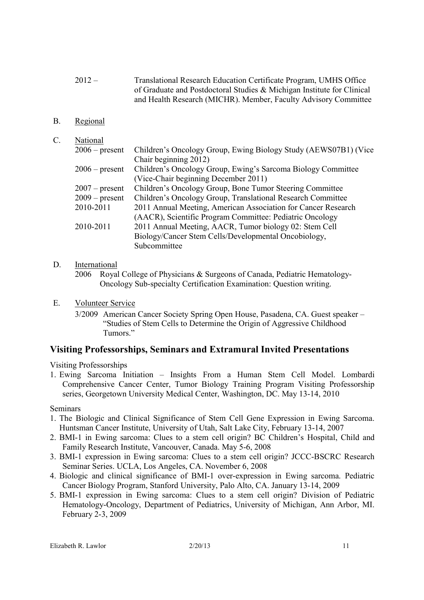- 2012 Translational Research Education Certificate Program, UMHS Office of Graduate and Postdoctoral Studies & Michigan Institute for Clinical and Health Research (MICHR). Member, Faculty Advisory Committee
- B. Regional
- C. National

| 11010101         |                                                                 |
|------------------|-----------------------------------------------------------------|
| $2006$ – present | Children's Oncology Group, Ewing Biology Study (AEWS07B1) (Vice |
|                  | Chair beginning 2012)                                           |
| $2006$ – present | Children's Oncology Group, Ewing's Sarcoma Biology Committee    |
|                  | (Vice-Chair beginning December 2011)                            |
| $2007 - present$ | Children's Oncology Group, Bone Tumor Steering Committee        |
| $2009 - present$ | Children's Oncology Group, Translational Research Committee     |
| 2010-2011        | 2011 Annual Meeting, American Association for Cancer Research   |
|                  | (AACR), Scientific Program Committee: Pediatric Oncology        |
| 2010-2011        | 2011 Annual Meeting, AACR, Tumor biology 02: Stem Cell          |
|                  | Biology/Cancer Stem Cells/Developmental Oncobiology,            |
|                  | Subcommittee                                                    |
|                  |                                                                 |

D. International

2006 Royal College of Physicians & Surgeons of Canada, Pediatric Hematology-Oncology Sub-specialty Certification Examination: Question writing.

- E. Volunteer Service
	- 3/2009 American Cancer Society Spring Open House, Pasadena, CA. Guest speaker "Studies of Stem Cells to Determine the Origin of Aggressive Childhood Tumors<sup>"</sup>

#### **Visiting Professorships, Seminars and Extramural Invited Presentations**

Visiting Professorships

1. Ewing Sarcoma Initiation – Insights From a Human Stem Cell Model. Lombardi Comprehensive Cancer Center, Tumor Biology Training Program Visiting Professorship series, Georgetown University Medical Center, Washington, DC. May 13-14, 2010

#### Seminars

- 1. The Biologic and Clinical Significance of Stem Cell Gene Expression in Ewing Sarcoma. Huntsman Cancer Institute, University of Utah, Salt Lake City, February 13-14, 2007
- 2. BMI-1 in Ewing sarcoma: Clues to a stem cell origin? BC Children's Hospital, Child and Family Research Institute, Vancouver, Canada. May 5-6, 2008
- 3. BMI-1 expression in Ewing sarcoma: Clues to a stem cell origin? JCCC-BSCRC Research Seminar Series. UCLA, Los Angeles, CA. November 6, 2008
- 4. Biologic and clinical significance of BMI-1 over-expression in Ewing sarcoma. Pediatric Cancer Biology Program, Stanford University, Palo Alto, CA. January 13-14, 2009
- 5. BMI-1 expression in Ewing sarcoma: Clues to a stem cell origin? Division of Pediatric Hematology-Oncology, Department of Pediatrics, University of Michigan, Ann Arbor, MI. February 2-3, 2009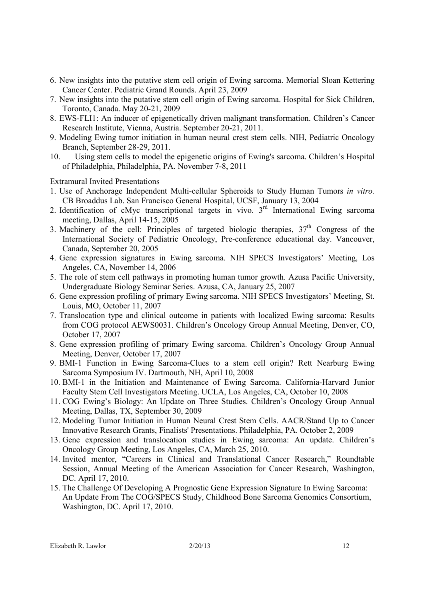- 6. New insights into the putative stem cell origin of Ewing sarcoma. Memorial Sloan Kettering Cancer Center. Pediatric Grand Rounds. April 23, 2009
- 7. New insights into the putative stem cell origin of Ewing sarcoma. Hospital for Sick Children, Toronto, Canada. May 20-21, 2009
- 8. EWS-FLI1: An inducer of epigenetically driven malignant transformation. Children's Cancer Research Institute, Vienna, Austria. September 20-21, 2011.
- 9. Modeling Ewing tumor initiation in human neural crest stem cells. NIH, Pediatric Oncology Branch, September 28-29, 2011.
- 10. Using stem cells to model the epigenetic origins of Ewing's sarcoma. Children's Hospital of Philadelphia, Philadelphia, PA. November 7-8, 2011

Extramural Invited Presentations

- 1. Use of Anchorage Independent Multi-cellular Spheroids to Study Human Tumors *in vitro.*  CB Broaddus Lab. San Francisco General Hospital, UCSF, January 13, 2004
- 2. Identification of cMyc transcriptional targets in vivo.  $3<sup>rd</sup>$  International Ewing sarcoma meeting, Dallas, April 14-15, 2005
- 3. Machinery of the cell: Principles of targeted biologic therapies,  $37<sup>th</sup>$  Congress of the International Society of Pediatric Oncology, Pre-conference educational day. Vancouver, Canada, September 20, 2005
- 4. Gene expression signatures in Ewing sarcoma. NIH SPECS Investigators' Meeting, Los Angeles, CA, November 14, 2006
- 5. The role of stem cell pathways in promoting human tumor growth. Azusa Pacific University, Undergraduate Biology Seminar Series. Azusa, CA, January 25, 2007
- 6. Gene expression profiling of primary Ewing sarcoma. NIH SPECS Investigators' Meeting, St. Louis, MO, October 11, 2007
- 7. Translocation type and clinical outcome in patients with localized Ewing sarcoma: Results from COG protocol AEWS0031. Children's Oncology Group Annual Meeting, Denver, CO, October 17, 2007
- 8. Gene expression profiling of primary Ewing sarcoma. Children's Oncology Group Annual Meeting, Denver, October 17, 2007
- 9. BMI-1 Function in Ewing Sarcoma-Clues to a stem cell origin? Rett Nearburg Ewing Sarcoma Symposium IV. Dartmouth, NH, April 10, 2008
- 10. BMI-1 in the Initiation and Maintenance of Ewing Sarcoma. California-Harvard Junior Faculty Stem Cell Investigators Meeting. UCLA, Los Angeles, CA, October 10, 2008
- 11. COG Ewing's Biology: An Update on Three Studies. Children's Oncology Group Annual Meeting, Dallas, TX, September 30, 2009
- 12. Modeling Tumor Initiation in Human Neural Crest Stem Cells. AACR/Stand Up to Cancer Innovative Research Grants, Finalists' Presentations. Philadelphia, PA. October 2, 2009
- 13. Gene expression and translocation studies in Ewing sarcoma: An update. Children's Oncology Group Meeting, Los Angeles, CA, March 25, 2010.
- 14. Invited mentor, "Careers in Clinical and Translational Cancer Research," Roundtable Session, Annual Meeting of the American Association for Cancer Research, Washington, DC. April 17, 2010.
- 15. The Challenge Of Developing A Prognostic Gene Expression Signature In Ewing Sarcoma: An Update From The COG/SPECS Study, Childhood Bone Sarcoma Genomics Consortium, Washington, DC. April 17, 2010.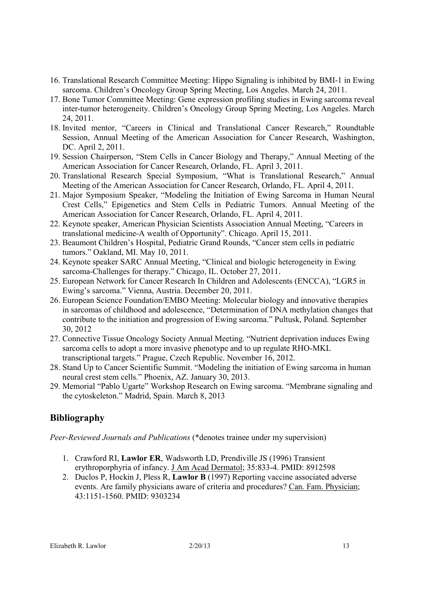- 16. Translational Research Committee Meeting: Hippo Signaling is inhibited by BMI-1 in Ewing sarcoma. Children's Oncology Group Spring Meeting, Los Angeles. March 24, 2011.
- 17. Bone Tumor Committee Meeting: Gene expression profiling studies in Ewing sarcoma reveal inter-tumor heterogeneity. Children's Oncology Group Spring Meeting, Los Angeles. March 24, 2011.
- 18. Invited mentor, "Careers in Clinical and Translational Cancer Research," Roundtable Session, Annual Meeting of the American Association for Cancer Research, Washington, DC. April 2, 2011.
- 19. Session Chairperson, "Stem Cells in Cancer Biology and Therapy," Annual Meeting of the American Association for Cancer Research, Orlando, FL. April 3, 2011.
- 20. Translational Research Special Symposium, "What is Translational Research," Annual Meeting of the American Association for Cancer Research, Orlando, FL. April 4, 2011.
- 21. Major Symposium Speaker, "Modeling the Initiation of Ewing Sarcoma in Human Neural Crest Cells," Epigenetics and Stem Cells in Pediatric Tumors. Annual Meeting of the American Association for Cancer Research, Orlando, FL. April 4, 2011.
- 22. Keynote speaker, American Physician Scientists Association Annual Meeting, "Careers in translational medicine-A wealth of Opportunity". Chicago. April 15, 2011.
- 23. Beaumont Children's Hospital, Pediatric Grand Rounds, "Cancer stem cells in pediatric tumors." Oakland, MI. May 10, 2011.
- 24. Keynote speaker SARC Annual Meeting, "Clinical and biologic heterogeneity in Ewing sarcoma-Challenges for therapy." Chicago, IL. October 27, 2011.
- 25. European Network for Cancer Research In Children and Adolescents (ENCCA), "LGR5 in Ewing's sarcoma." Vienna, Austria. December 20, 2011.
- 26. European Science Foundation/EMBO Meeting: Molecular biology and innovative therapies in sarcomas of childhood and adolescence, "Determination of DNA methylation changes that contribute to the initiation and progression of Ewing sarcoma." Pultusk, Poland. September 30, 2012
- 27. Connective Tissue Oncology Society Annual Meeting. "Nutrient deprivation induces Ewing sarcoma cells to adopt a more invasive phenotype and to up regulate RHO-MKL transcriptional targets." Prague, Czech Republic. November 16, 2012.
- 28. Stand Up to Cancer Scientific Summit. "Modeling the initiation of Ewing sarcoma in human neural crest stem cells." Phoenix, AZ. January 30, 2013.
- 29. Memorial "Pablo Ugarte" Workshop Research on Ewing sarcoma. "Membrane signaling and the cytoskeleton." Madrid, Spain. March 8, 2013

# **Bibliography**

*Peer-Reviewed Journals and Publications* (\*denotes trainee under my supervision)

- 1. Crawford RI, **Lawlor ER**, Wadsworth LD, Prendiville JS (1996) Transient erythroporphyria of infancy. J Am Acad Dermatol; 35:833-4. PMID: 8912598
- 2. Duclos P, Hockin J, Pless R, **Lawlor B** (1997) Reporting vaccine associated adverse events. Are family physicians aware of criteria and procedures? Can. Fam. Physician; 43:1151-1560. PMID: 9303234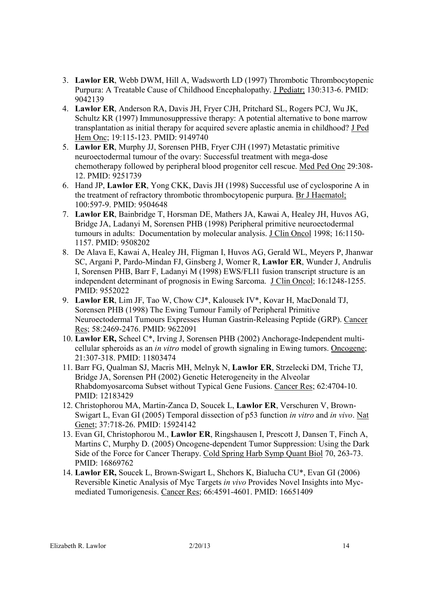- 3. **Lawlor ER**, Webb DWM, Hill A, Wadsworth LD (1997) Thrombotic Thrombocytopenic Purpura: A Treatable Cause of Childhood Encephalopathy. J Pediatr; 130:313-6. PMID: 9042139
- 4. **Lawlor ER**, Anderson RA, Davis JH, Fryer CJH, Pritchard SL, Rogers PCJ, Wu JK, Schultz KR (1997) Immunosuppressive therapy: A potential alternative to bone marrow transplantation as initial therapy for acquired severe aplastic anemia in childhood? J Ped Hem Onc; 19:115-123. PMID: 9149740
- 5. **Lawlor ER**, Murphy JJ, Sorensen PHB, Fryer CJH (1997) Metastatic primitive neuroectodermal tumour of the ovary: Successful treatment with mega-dose chemotherapy followed by peripheral blood progenitor cell rescue. Med Ped Onc 29:308- 12. PMID: 9251739
- 6. Hand JP, **Lawlor ER**, Yong CKK, Davis JH (1998) Successful use of cyclosporine A in the treatment of refractory thrombotic thrombocytopenic purpura. Br J Haematol; 100:597-9. PMID: 9504648
- 7. **Lawlor ER**, Bainbridge T, Horsman DE, Mathers JA, Kawai A, Healey JH, Huvos AG, Bridge JA, Ladanyi M, Sorensen PHB (1998) Peripheral primitive neuroectodermal tumours in adults: Documentation by molecular analysis. J Clin Oncol 1998; 16:1150- 1157. PMID: 9508202
- 8. De Alava E, Kawai A, Healey JH, Fligman I, Huvos AG, Gerald WL, Meyers P, Jhanwar SC, Argani P, Pardo-Mindan FJ, Ginsberg J, Womer R, **Lawlor ER**, Wunder J, Andrulis I, Sorensen PHB, Barr F, Ladanyi M (1998) EWS/FLI1 fusion transcript structure is an independent determinant of prognosis in Ewing Sarcoma. J Clin Oncol; 16:1248-1255. PMID: 9552022
- 9. **Lawlor ER**, Lim JF, Tao W, Chow CJ\*, Kalousek IV\*, Kovar H, MacDonald TJ, Sorensen PHB (1998) The Ewing Tumour Family of Peripheral Primitive Neuroectodermal Tumours Expresses Human Gastrin-Releasing Peptide (GRP). Cancer Res; 58:2469-2476. PMID: 9622091
- 10. **Lawlor ER,** Scheel C\*, Irving J, Sorensen PHB (2002) Anchorage-Independent multicellular spheroids as an *in vitro* model of growth signaling in Ewing tumors. Oncogene; 21:307-318. PMID: 11803474
- 11. Barr FG, Qualman SJ, Macris MH, Melnyk N, **Lawlor ER**, Strzelecki DM, Triche TJ, Bridge JA, Sorensen PH (2002) Genetic Heterogeneity in the Alveolar Rhabdomyosarcoma Subset without Typical Gene Fusions. Cancer Res; 62:4704-10. PMID: 12183429
- 12. Christophorou MA, Martin-Zanca D, Soucek L, **Lawlor ER**, Verschuren V, Brown-Swigart L, Evan GI (2005) Temporal dissection of p53 function *in vitro* and *in vivo*. Nat Genet; 37:718-26. PMID: 15924142
- 13. Evan GI, Christophorou M., **Lawlor ER**, Ringshausen I, Prescott J, Dansen T, Finch A, Martins C, Murphy D. (2005) Oncogene-dependent Tumor Suppression: Using the Dark Side of the Force for Cancer Therapy. Cold Spring Harb Symp Quant Biol 70, 263-73. PMID: 16869762
- 14. **Lawlor ER,** Soucek L, Brown-Swigart L, Shchors K, Bialucha CU\*, Evan GI (2006) Reversible Kinetic Analysis of Myc Targets *in vivo* Provides Novel Insights into Mycmediated Tumorigenesis. Cancer Res; 66:4591-4601. PMID: 16651409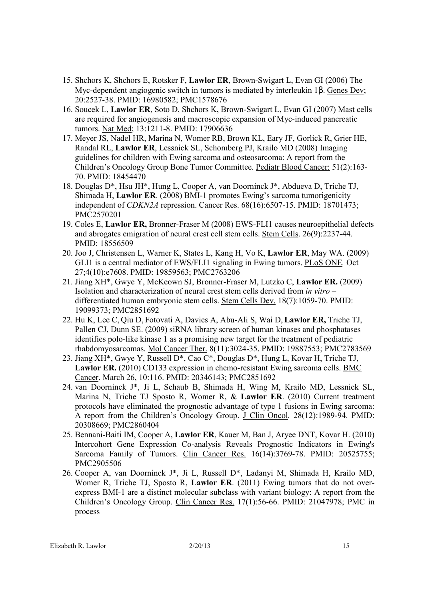- 15. Shchors K, Shchors E, Rotsker F, **Lawlor ER**, Brown-Swigart L, Evan GI (2006) The Myc-dependent angiogenic switch in tumors is mediated by interleukin 1β. Genes Dev; 20:2527-38. PMID: 16980582; PMC1578676
- 16. Soucek L, **Lawlor ER**, Soto D, Shchors K, Brown-Swigart L, Evan GI (2007) Mast cells are required for angiogenesis and macroscopic expansion of Myc-induced pancreatic tumors. Nat Med; 13:1211-8. PMID: 17906636
- 17. Meyer JS, Nadel HR, Marina N, Womer RB, Brown KL, Eary JF, Gorlick R, Grier HE, Randal RL, **Lawlor ER**, Lessnick SL, Schomberg PJ, Krailo MD (2008) Imaging guidelines for children with Ewing sarcoma and osteosarcoma: A report from the Children's Oncology Group Bone Tumor Committee. Pediatr Blood Cancer: 51(2):163- 70. PMID: 18454470
- 18. Douglas D\*, Hsu JH\*, Hung L, Cooper A, van Doorninck J\*, Abdueva D, Triche TJ, Shimada H, **Lawlor ER**. (2008) BMI-1 promotes Ewing's sarcoma tumorigenicity independent of *CDKN2A* repression. Cancer Res. 68(16):6507-15. PMID: 18701473; PMC2570201
- 19. Coles E, **Lawlor ER,** Bronner-Fraser M (2008) EWS-FLI1 causes neuroepithelial defects and abrogates emigration of neural crest cell stem cells. Stem Cells. 26(9):2237-44. PMID: 18556509
- 20. Joo J, Christensen L, Warner K, States L, Kang H, Vo K, **Lawlor ER**, May WA. (2009) GLI1 is a central mediator of EWS/FLI1 signaling in Ewing tumors. PLoS ONE*.* Oct 27;4(10):e7608. PMID: 19859563; PMC2763206
- 21. Jiang XH\*, Gwye Y, McKeown SJ, Bronner-Fraser M, Lutzko C, **Lawlor ER.** (2009) Isolation and characterization of neural crest stem cells derived from *in vitro* – differentiated human embryonic stem cells. Stem Cells Dev. 18(7):1059-70. PMID: 19099373; PMC2851692
- 22. Hu K, Lee C, Qiu D, Fotovati A, Davies A, Abu-Ali S, Wai D, **Lawlor ER,** Triche TJ, Pallen CJ, Dunn SE. (2009) siRNA library screen of human kinases and phosphatases identifies polo-like kinase 1 as a promising new target for the treatment of pediatric rhabdomyosarcomas. Mol Cancer Ther. 8(11):3024-35. PMID: 19887553; PMC2783569
- 23. Jiang XH\*, Gwye Y, Russell D\*, Cao C\*, Douglas D\*, Hung L, Kovar H, Triche TJ, **Lawlor ER.** (2010) CD133 expression in chemo-resistant Ewing sarcoma cells. BMC Cancer. March 26, 10:116. PMID: 20346143; PMC2851692
- 24. van Doorninck J\*, Ji L, Schaub B, Shimada H, Wing M, Krailo MD, Lessnick SL, Marina N, Triche TJ Sposto R, Womer R, & **Lawlor ER**. (2010) Current treatment protocols have eliminated the prognostic advantage of type 1 fusions in Ewing sarcoma: A report from the Children's Oncology Group. J Clin Oncol*.* 28(12):1989-94. PMID: 20308669; PMC2860404
- 25. Bennani-Baiti IM, Cooper A, **Lawlor ER**, Kauer M, Ban J, Aryee DNT, Kovar H. (2010) Intercohort Gene Expression Co-analysis Reveals Prognostic Indicators in Ewing's Sarcoma Family of Tumors. Clin Cancer Res. 16(14):3769-78. PMID: 20525755; PMC2905506
- 26. Cooper A, van Doorninck J\*, Ji L, Russell D\*, Ladanyi M, Shimada H, Krailo MD, Womer R, Triche TJ, Sposto R, **Lawlor ER**. (2011) Ewing tumors that do not overexpress BMI-1 are a distinct molecular subclass with variant biology: A report from the Children's Oncology Group. Clin Cancer Res. 17(1):56-66. PMID: 21047978; PMC in process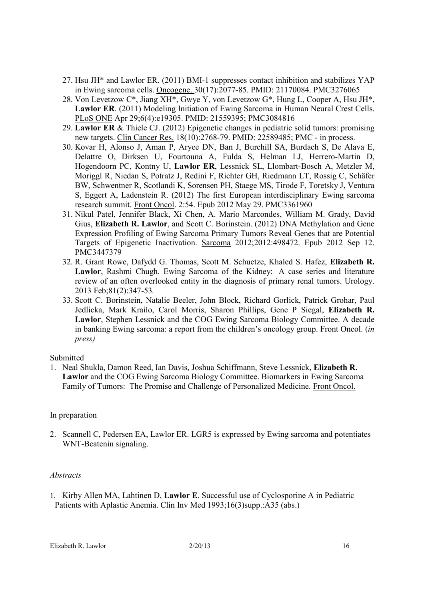- 27. Hsu JH\* and Lawlor ER. (2011) BMI-1 suppresses contact inhibition and stabilizes YAP in Ewing sarcoma cells. Oncogene. 30(17):2077-85. PMID: 21170084. PMC3276065
- 28. Von Levetzow C\*, Jiang XH\*, Gwye Y, von Levetzow G\*, Hung L, Cooper A, Hsu JH\*, **Lawlor ER**. (2011) Modeling Initiation of Ewing Sarcoma in Human Neural Crest Cells. PLoS ONE Apr 29;6(4):e19305. PMID: 21559395; PMC3084816
- 29. **Lawlor ER** & Thiele CJ. (2012) Epigenetic changes in pediatric solid tumors: promising new targets. Clin Cancer Res. 18(10):2768-79. PMID: 22589485; PMC - in process.
- 30. Kovar H, Alonso J, Aman P, Aryee DN, Ban J, Burchill SA, Burdach S, De Alava E, Delattre O, Dirksen U, Fourtouna A, Fulda S, Helman LJ, Herrero-Martin D, Hogendoorn PC, Kontny U, **Lawlor ER**, Lessnick SL, Llombart-Bosch A, Metzler M, Moriggl R, Niedan S, Potratz J, Redini F, Richter GH, Riedmann LT, Rossig C, Schäfer BW, Schwentner R, Scotlandi K, Sorensen PH, Staege MS, Tirode F, Toretsky J, Ventura S, Eggert A, Ladenstein R. (2012) The first European interdisciplinary Ewing sarcoma research summit. Front Oncol. 2:54. Epub 2012 May 29. PMC3361960
- 31. Nikul Patel, Jennifer Black, Xi Chen, A. Mario Marcondes, William M. Grady, David Gius, **Elizabeth R. Lawlor**, and Scott C. Borinstein. (2012) DNA Methylation and Gene Expression Profiling of Ewing Sarcoma Primary Tumors Reveal Genes that are Potential Targets of Epigenetic Inactivation. Sarcoma 2012;2012:498472. Epub 2012 Sep 12. PMC3447379
- 32. R. Grant Rowe, Dafydd G. Thomas, Scott M. Schuetze, Khaled S. Hafez, **Elizabeth R. Lawlor**, Rashmi Chugh. Ewing Sarcoma of the Kidney: A case series and literature review of an often overlooked entity in the diagnosis of primary renal tumors. Urology. 2013 Feb;81(2):347-53*.*
- 33. Scott C. Borinstein, Natalie Beeler, John Block, Richard Gorlick, Patrick Grohar, Paul Jedlicka, Mark Krailo, Carol Morris, Sharon Phillips, Gene P Siegal, **Elizabeth R. Lawlor**, Stephen Lessnick and the COG Ewing Sarcoma Biology Committee. A decade in banking Ewing sarcoma: a report from the children's oncology group. Front Oncol. (*in press)*

#### Submitted

1. Neal Shukla, Damon Reed, Ian Davis, Joshua Schiffmann, Steve Lessnick, **Elizabeth R. Lawlor** and the COG Ewing Sarcoma Biology Committee. Biomarkers in Ewing Sarcoma Family of Tumors: The Promise and Challenge of Personalized Medicine. Front Oncol.

#### In preparation

2. Scannell C, Pedersen EA, Lawlor ER. LGR5 is expressed by Ewing sarcoma and potentiates WNT-Bcatenin signaling.

#### *Abstracts*

1. Kirby Allen MA, Lahtinen D, **Lawlor E**. Successful use of Cyclosporine A in Pediatric Patients with Aplastic Anemia. Clin Inv Med 1993;16(3)supp.:A35 (abs.)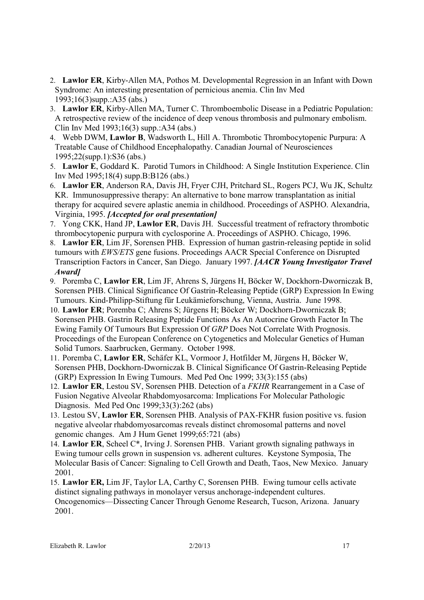- 2. **Lawlor ER**, Kirby-Allen MA, Pothos M. Developmental Regression in an Infant with Down Syndrome: An interesting presentation of pernicious anemia. Clin Inv Med 1993;16(3)supp.:A35 (abs.)
- 3. **Lawlor ER**, Kirby-Allen MA, Turner C. Thromboembolic Disease in a Pediatric Population: A retrospective review of the incidence of deep venous thrombosis and pulmonary embolism. Clin Inv Med 1993;16(3) supp.:A34 (abs.)
- 4. Webb DWM, **Lawlor B**, Wadsworth L, Hill A. Thrombotic Thrombocytopenic Purpura: A Treatable Cause of Childhood Encephalopathy. Canadian Journal of Neurosciences 1995;22(supp.1):S36 (abs.)
- 5. **Lawlor E**, Goddard K. Parotid Tumors in Childhood: A Single Institution Experience. Clin Inv Med 1995;18(4) supp.B:B126 (abs.)
- 6. **Lawlor ER**, Anderson RA, Davis JH, Fryer CJH, Pritchard SL, Rogers PCJ, Wu JK, Schultz KR. Immunosuppressive therapy: An alternative to bone marrow transplantation as initial therapy for acquired severe aplastic anemia in childhood. Proceedings of ASPHO. Alexandria, Virginia, 1995. *[Accepted for oral presentation]*
- 7. Yong CKK, Hand JP, **Lawlor ER**, Davis JH. Successful treatment of refractory thrombotic thrombocytopenic purpura with cyclosporine A. Proceedings of ASPHO. Chicago, 1996.
- 8. **Lawlor ER**, Lim JF, Sorensen PHB. Expression of human gastrin-releasing peptide in solid tumours with *EWS/ETS* gene fusions. Proceedings AACR Special Conference on Disrupted Transcription Factors in Cancer, San Diego. January 1997. *[AACR Young Investigator Travel Award]*
- 9. Poremba C, **Lawlor ER**, Lim JF, Ahrens S, Jürgens H, Böcker W, Dockhorn-Dworniczak B, Sorensen PHB. Clinical Significance Of Gastrin-Releasing Peptide (GRP) Expression In Ewing Tumours. Kind-Philipp-Stiftung für Leukämieforschung, Vienna, Austria. June 1998.
- 10. **Lawlor ER**; Poremba C; Ahrens S; Jürgens H; Böcker W; Dockhorn-Dworniczak B; Sorensen PHB. Gastrin Releasing Peptide Functions As An Autocrine Growth Factor In The Ewing Family Of Tumours But Expression Of *GRP* Does Not Correlate With Prognosis. Proceedings of the European Conference on Cytogenetics and Molecular Genetics of Human Solid Tumors. Saarbrucken, Germany. October 1998.
- 11. Poremba C, **Lawlor ER**, Schäfer KL, Vormoor J, Hotfilder M, Jürgens H, Böcker W, Sorensen PHB, Dockhorn-Dworniczak B. Clinical Significance Of Gastrin-Releasing Peptide (GRP) Expression In Ewing Tumours. Med Ped Onc 1999; 33(3):155 (abs)
- 12. **Lawlor ER**, Lestou SV, Sorensen PHB. Detection of a *FKHR* Rearrangement in a Case of Fusion Negative Alveolar Rhabdomyosarcoma: Implications For Molecular Pathologic Diagnosis. Med Ped Onc 1999;33(3):262 (abs)
- 13. Lestou SV, **Lawlor ER**, Sorensen PHB. Analysis of PAX-FKHR fusion positive vs. fusion negative alveolar rhabdomyosarcomas reveals distinct chromosomal patterns and novel genomic changes. Am J Hum Genet 1999;65:721 (abs)
- 14. **Lawlor ER**, Scheel C\*, Irving J. Sorensen PHB. Variant growth signaling pathways in Ewing tumour cells grown in suspension vs. adherent cultures. Keystone Symposia, The Molecular Basis of Cancer: Signaling to Cell Growth and Death, Taos, New Mexico. January 2001.
- 15. **Lawlor ER,** Lim JF, Taylor LA, Carthy C, Sorensen PHB. Ewing tumour cells activate distinct signaling pathways in monolayer versus anchorage-independent cultures. Oncogenomics—Dissecting Cancer Through Genome Research, Tucson, Arizona. January 2001.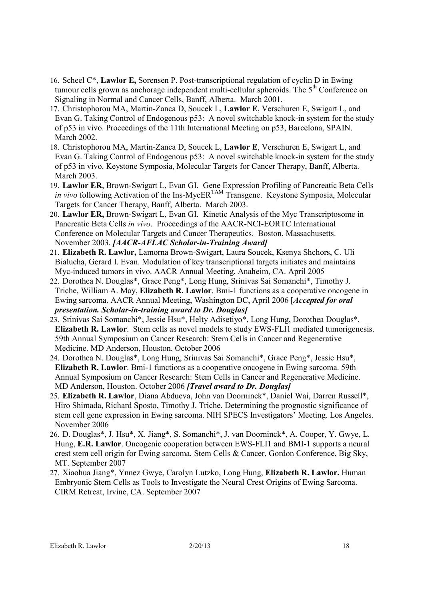- 16. Scheel C\*, **Lawlor E,** Sorensen P. Post-transcriptional regulation of cyclin D in Ewing tumour cells grown as anchorage independent multi-cellular spheroids. The 5<sup>th</sup> Conference on Signaling in Normal and Cancer Cells, Banff, Alberta. March 2001.
- 17. Christophorou MA, Martin-Zanca D, Soucek L, **Lawlor E**, Verschuren E, Swigart L, and Evan G. Taking Control of Endogenous p53: A novel switchable knock-in system for the study of p53 in vivo. Proceedings of the 11th International Meeting on p53, Barcelona, SPAIN. March 2002.
- 18. Christophorou MA, Martin-Zanca D, Soucek L, **Lawlor E**, Verschuren E, Swigart L, and Evan G. Taking Control of Endogenous p53: A novel switchable knock-in system for the study of p53 in vivo. Keystone Symposia, Molecular Targets for Cancer Therapy, Banff, Alberta. March 2003.
- 19. **Lawlor ER**, Brown-Swigart L, Evan GI. Gene Expression Profiling of Pancreatic Beta Cells *in vivo* following Activation of the Ins-MycER<sup>TAM</sup> Transgene. Keystone Symposia, Molecular Targets for Cancer Therapy, Banff, Alberta. March 2003.
- 20. **Lawlor ER,** Brown-Swigart L, Evan GI. Kinetic Analysis of the Myc Transcriptosome in Pancreatic Beta Cells *in vivo*. Proceedings of the AACR-NCI-EORTC International Conference on Molecular Targets and Cancer Therapeutics. Boston, Massachusetts. November 2003. *[AACR-AFLAC Scholar-in-Training Award]*
- 21. **Elizabeth R. Lawlor,** Lamorna Brown-Swigart, Laura Soucek, Ksenya Shchors, C. Uli Bialucha, Gerard I. Evan. Modulation of key transcriptional targets initiates and maintains Myc-induced tumors in vivo. AACR Annual Meeting, Anaheim, CA. April 2005
- 22. Dorothea N. Douglas\*, Grace Peng\*, Long Hung, Srinivas Sai Somanchi\*, Timothy J. Triche, William A. May, **Elizabeth R. Lawlor**. Bmi-1 functions as a cooperative oncogene in Ewing sarcoma. AACR Annual Meeting, Washington DC, April 2006 [*Accepted for oral presentation. Scholar-in-training award to Dr. Douglas]*
- 23. Srinivas Sai Somanchi\*, Jessie Hsu\*, Helty Adisetiyo\*, Long Hung, Dorothea Douglas\*, **Elizabeth R. Lawlor**. Stem cells as novel models to study EWS-FLI1 mediated tumorigenesis. 59th Annual Symposium on Cancer Research: Stem Cells in Cancer and Regenerative Medicine. MD Anderson, Houston. October 2006
- 24. Dorothea N. Douglas\*, Long Hung, Srinivas Sai Somanchi\*, Grace Peng\*, Jessie Hsu\*, **Elizabeth R. Lawlor**. Bmi-1 functions as a cooperative oncogene in Ewing sarcoma. 59th Annual Symposium on Cancer Research: Stem Cells in Cancer and Regenerative Medicine. MD Anderson, Houston. October 2006 *[Travel award to Dr. Douglas]*
- 25. **Elizabeth R. Lawlor**, Diana Abdueva, John van Doorninck\*, Daniel Wai, Darren Russell\*, Hiro Shimada, Richard Sposto, Timothy J. Triche. Determining the prognostic significance of stem cell gene expression in Ewing sarcoma. NIH SPECS Investigators' Meeting. Los Angeles. November 2006
- 26. D. Douglas\*, J. Hsu\*, X. Jiang\*, S. Somanchi\*, J. van Doorninck\*, A. Cooper, Y. Gwye, L. Hung, **E.R. Lawlor**. Oncogenic cooperation between EWS-FLI1 and BMI-1 supports a neural crest stem cell origin for Ewing sarcoma*.* Stem Cells & Cancer, Gordon Conference, Big Sky, MT. September 2007
- 27. Xiaohua Jiang\*, Ynnez Gwye, Carolyn Lutzko, Long Hung, **Elizabeth R. Lawlor.** Human Embryonic Stem Cells as Tools to Investigate the Neural Crest Origins of Ewing Sarcoma. CIRM Retreat, Irvine, CA. September 2007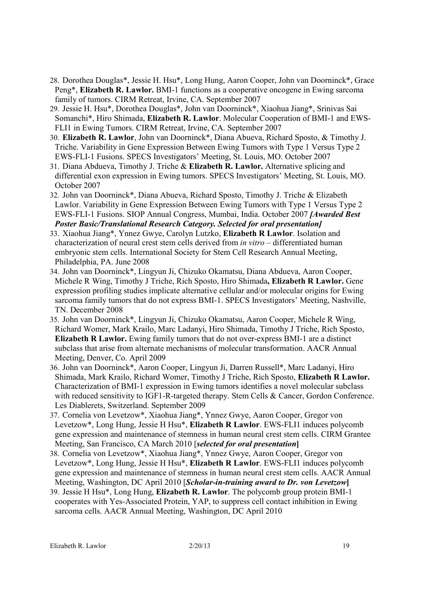- 28. Dorothea Douglas\*, Jessie H. Hsu\*, Long Hung, Aaron Cooper, John van Doorninck\*, Grace Peng\*, **Elizabeth R. Lawlor.** BMI-1 functions as a cooperative oncogene in Ewing sarcoma family of tumors. CIRM Retreat, Irvine, CA. September 2007
- 29. Jessie H. Hsu\*, Dorothea Douglas\*, John van Doorninck\*, Xiaohua Jiang\*, Srinivas Sai Somanchi\*, Hiro Shimada, **Elizabeth R. Lawlor**. Molecular Cooperation of BMI-1 and EWS-FLI1 in Ewing Tumors. CIRM Retreat, Irvine, CA. September 2007
- 30. **Elizabeth R. Lawlor**, John van Doorninck\*, Diana Abueva, Richard Sposto, & Timothy J. Triche. Variability in Gene Expression Between Ewing Tumors with Type 1 Versus Type 2 EWS-FLI-1 Fusions. SPECS Investigators' Meeting, St. Louis, MO. October 2007
- 31. Diana Abdueva, Timothy J. Triche & **Elizabeth R. Lawlor.** Alternative splicing and differential exon expression in Ewing tumors. SPECS Investigators' Meeting, St. Louis, MO. October 2007
- 32. John van Doorninck\*, Diana Abueva, Richard Sposto, Timothy J. Triche & Elizabeth Lawlor. Variability in Gene Expression Between Ewing Tumors with Type 1 Versus Type 2 EWS-FLI-1 Fusions. SIOP Annual Congress, Mumbai, India. October 2007 *[Awarded Best Poster Basic/Translational Research Category. Selected for oral presentation]*
- 33. Xiaohua Jiang\*, Ynnez Gwye, Carolyn Lutzko, **Elizabeth R Lawlor**. Isolation and characterization of neural crest stem cells derived from *in vitro* – differentiated human embryonic stem cells. International Society for Stem Cell Research Annual Meeting, Philadelphia, PA. June 2008
- 34. John van Doorninck\*, Lingyun Ji, Chizuko Okamatsu, Diana Abdueva, Aaron Cooper, Michele R Wing, Timothy J Triche, Rich Sposto, Hiro Shimada**, Elizabeth R Lawlor.** Gene expression profiling studies implicate alternative cellular and/or molecular origins for Ewing sarcoma family tumors that do not express BMI-1. SPECS Investigators' Meeting, Nashville, TN. December 2008
- 35. John van Doorninck\*, Lingyun Ji, Chizuko Okamatsu, Aaron Cooper, Michele R Wing, Richard Womer, Mark Krailo, Marc Ladanyi, Hiro Shimada, Timothy J Triche, Rich Sposto, **Elizabeth R Lawlor.** Ewing family tumors that do not over-express BMI-1 are a distinct subclass that arise from alternate mechanisms of molecular transformation. AACR Annual Meeting, Denver, Co. April 2009
- 36. John van Doorninck\*, Aaron Cooper, Lingyun Ji, Darren Russell\*, Marc Ladanyi, Hiro Shimada, Mark Krailo, Richard Womer, Timothy J Triche, Rich Sposto, **Elizabeth R Lawlor.** Characterization of BMI-1 expression in Ewing tumors identifies a novel molecular subclass with reduced sensitivity to IGF1-R-targeted therapy. Stem Cells & Cancer, Gordon Conference. Les Diablerets, Switzerland. September 2009
- 37. Cornelia von Levetzow\*, Xiaohua Jiang\*, Ynnez Gwye, Aaron Cooper, Gregor von Levetzow\*, Long Hung, Jessie H Hsu\*, **Elizabeth R Lawlor**. EWS-FLI1 induces polycomb gene expression and maintenance of stemness in human neural crest stem cells. CIRM Grantee Meeting, San Francisco, CA March 2010 [*selected for oral presentation***]**
- 38. Cornelia von Levetzow\*, Xiaohua Jiang\*, Ynnez Gwye, Aaron Cooper, Gregor von Levetzow\*, Long Hung, Jessie H Hsu\*, **Elizabeth R Lawlor**. EWS-FLI1 induces polycomb gene expression and maintenance of stemness in human neural crest stem cells. AACR Annual Meeting, Washington, DC April 2010 [*Scholar-in-training award to Dr. von Levetzow***]**
- 39. Jessie H Hsu\*, Long Hung, **Elizabeth R. Lawlor**. The polycomb group protein BMI-1 cooperates with Yes-Associated Protein, YAP, to suppress cell contact inhibition in Ewing sarcoma cells. AACR Annual Meeting, Washington, DC April 2010